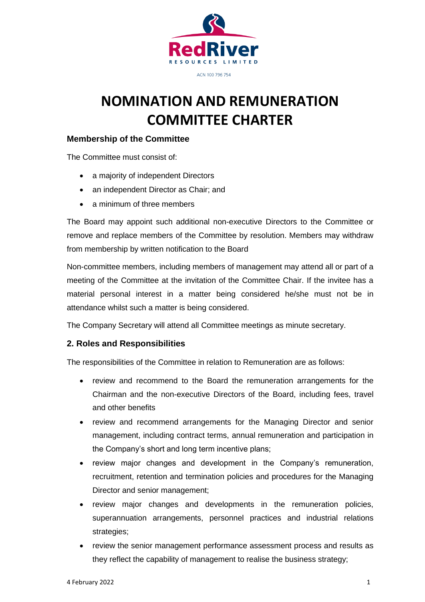

# **NOMINATION AND REMUNERATION COMMITTEE CHARTER**

## **Membership of the Committee**

The Committee must consist of:

- a majority of independent Directors
- an independent Director as Chair; and
- a minimum of three members

The Board may appoint such additional non-executive Directors to the Committee or remove and replace members of the Committee by resolution. Members may withdraw from membership by written notification to the Board

Non-committee members, including members of management may attend all or part of a meeting of the Committee at the invitation of the Committee Chair. If the invitee has a material personal interest in a matter being considered he/she must not be in attendance whilst such a matter is being considered.

The Company Secretary will attend all Committee meetings as minute secretary.

# **2. Roles and Responsibilities**

The responsibilities of the Committee in relation to Remuneration are as follows:

- review and recommend to the Board the remuneration arrangements for the Chairman and the non-executive Directors of the Board, including fees, travel and other benefits
- review and recommend arrangements for the Managing Director and senior management, including contract terms, annual remuneration and participation in the Company's short and long term incentive plans;
- review major changes and development in the Company's remuneration, recruitment, retention and termination policies and procedures for the Managing Director and senior management;
- review major changes and developments in the remuneration policies, superannuation arrangements, personnel practices and industrial relations strategies;
- review the senior management performance assessment process and results as they reflect the capability of management to realise the business strategy;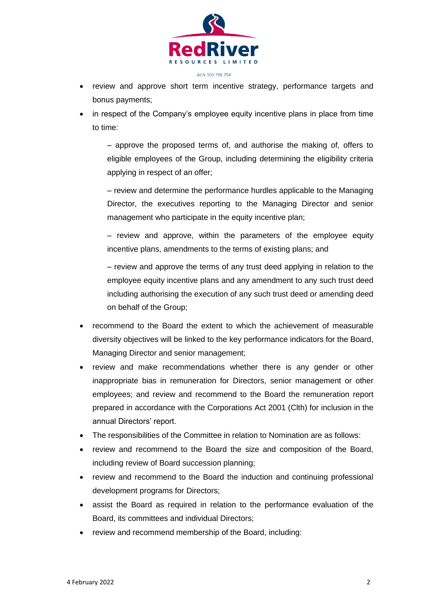

- review and approve short term incentive strategy, performance targets and bonus payments;
- in respect of the Company's employee equity incentive plans in place from time to time:

– approve the proposed terms of, and authorise the making of, offers to eligible employees of the Group, including determining the eligibility criteria applying in respect of an offer;

– review and determine the performance hurdles applicable to the Managing Director, the executives reporting to the Managing Director and senior management who participate in the equity incentive plan;

– review and approve, within the parameters of the employee equity incentive plans, amendments to the terms of existing plans; and

– review and approve the terms of any trust deed applying in relation to the employee equity incentive plans and any amendment to any such trust deed including authorising the execution of any such trust deed or amending deed on behalf of the Group;

- recommend to the Board the extent to which the achievement of measurable diversity objectives will be linked to the key performance indicators for the Board, Managing Director and senior management;
- review and make recommendations whether there is any gender or other inappropriate bias in remuneration for Directors, senior management or other employees; and review and recommend to the Board the remuneration report prepared in accordance with the Corporations Act 2001 (Clth) for inclusion in the annual Directors' report.
- The responsibilities of the Committee in relation to Nomination are as follows:
- review and recommend to the Board the size and composition of the Board, including review of Board succession planning;
- review and recommend to the Board the induction and continuing professional development programs for Directors;
- assist the Board as required in relation to the performance evaluation of the Board, its committees and individual Directors;
- review and recommend membership of the Board, including: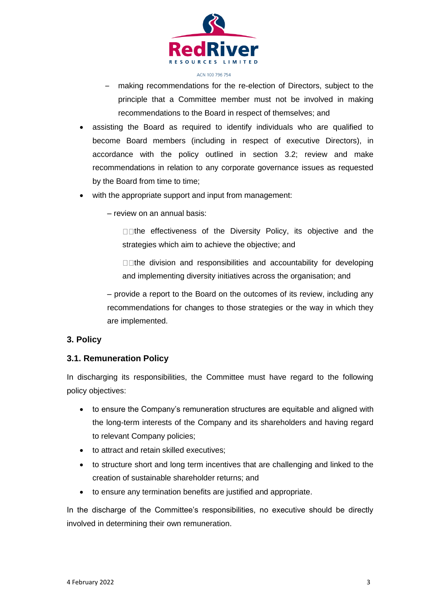

- making recommendations for the re-election of Directors, subject to the principle that a Committee member must not be involved in making recommendations to the Board in respect of themselves; and
- assisting the Board as required to identify individuals who are qualified to become Board members (including in respect of executive Directors), in accordance with the policy outlined in section 3.2; review and make recommendations in relation to any corporate governance issues as requested by the Board from time to time;
- with the appropriate support and input from management:
	- review on an annual basis:

 $\square$  The effectiveness of the Diversity Policy, its objective and the strategies which aim to achieve the objective; and

 $\square$  The division and responsibilities and accountability for developing and implementing diversity initiatives across the organisation; and

– provide a report to the Board on the outcomes of its review, including any recommendations for changes to those strategies or the way in which they are implemented.

#### **3. Policy**

#### **3.1. Remuneration Policy**

In discharging its responsibilities, the Committee must have regard to the following policy objectives:

- to ensure the Company's remuneration structures are equitable and aligned with the long-term interests of the Company and its shareholders and having regard to relevant Company policies;
- to attract and retain skilled executives;
- to structure short and long term incentives that are challenging and linked to the creation of sustainable shareholder returns; and
- to ensure any termination benefits are justified and appropriate.

In the discharge of the Committee's responsibilities, no executive should be directly involved in determining their own remuneration.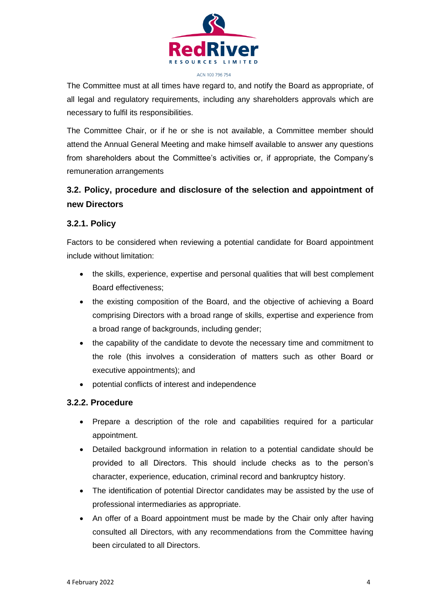

The Committee must at all times have regard to, and notify the Board as appropriate, of all legal and regulatory requirements, including any shareholders approvals which are necessary to fulfil its responsibilities.

The Committee Chair, or if he or she is not available, a Committee member should attend the Annual General Meeting and make himself available to answer any questions from shareholders about the Committee's activities or, if appropriate, the Company's remuneration arrangements

# **3.2. Policy, procedure and disclosure of the selection and appointment of new Directors**

#### **3.2.1. Policy**

Factors to be considered when reviewing a potential candidate for Board appointment include without limitation:

- the skills, experience, expertise and personal qualities that will best complement Board effectiveness;
- the existing composition of the Board, and the objective of achieving a Board comprising Directors with a broad range of skills, expertise and experience from a broad range of backgrounds, including gender;
- the capability of the candidate to devote the necessary time and commitment to the role (this involves a consideration of matters such as other Board or executive appointments); and
- potential conflicts of interest and independence

#### **3.2.2. Procedure**

- Prepare a description of the role and capabilities required for a particular appointment.
- Detailed background information in relation to a potential candidate should be provided to all Directors. This should include checks as to the person's character, experience, education, criminal record and bankruptcy history.
- The identification of potential Director candidates may be assisted by the use of professional intermediaries as appropriate.
- An offer of a Board appointment must be made by the Chair only after having consulted all Directors, with any recommendations from the Committee having been circulated to all Directors.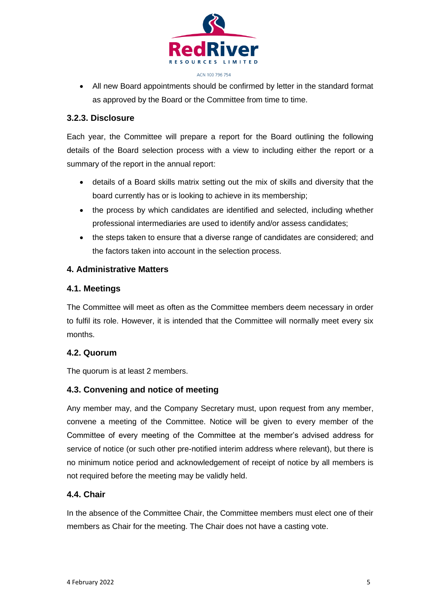

• All new Board appointments should be confirmed by letter in the standard format as approved by the Board or the Committee from time to time.

### **3.2.3. Disclosure**

Each year, the Committee will prepare a report for the Board outlining the following details of the Board selection process with a view to including either the report or a summary of the report in the annual report:

- details of a Board skills matrix setting out the mix of skills and diversity that the board currently has or is looking to achieve in its membership;
- the process by which candidates are identified and selected, including whether professional intermediaries are used to identify and/or assess candidates;
- the steps taken to ensure that a diverse range of candidates are considered; and the factors taken into account in the selection process.

## **4. Administrative Matters**

## **4.1. Meetings**

The Committee will meet as often as the Committee members deem necessary in order to fulfil its role. However, it is intended that the Committee will normally meet every six months.

# **4.2. Quorum**

The quorum is at least 2 members.

# **4.3. Convening and notice of meeting**

Any member may, and the Company Secretary must, upon request from any member, convene a meeting of the Committee. Notice will be given to every member of the Committee of every meeting of the Committee at the member's advised address for service of notice (or such other pre-notified interim address where relevant), but there is no minimum notice period and acknowledgement of receipt of notice by all members is not required before the meeting may be validly held.

# **4.4. Chair**

In the absence of the Committee Chair, the Committee members must elect one of their members as Chair for the meeting. The Chair does not have a casting vote.